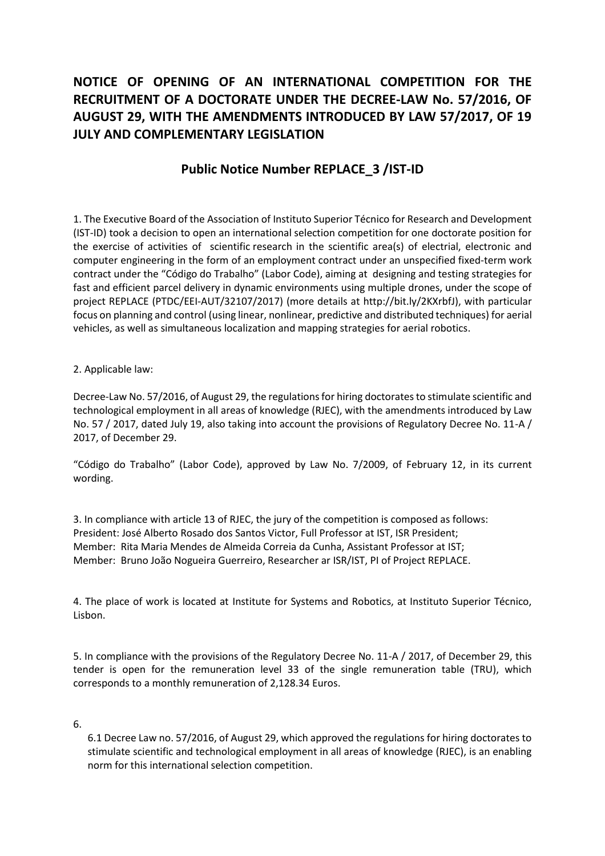## **NOTICE OF OPENING OF AN INTERNATIONAL COMPETITION FOR THE RECRUITMENT OF A DOCTORATE UNDER THE DECREE-LAW No. 57/2016, OF AUGUST 29, WITH THE AMENDMENTS INTRODUCED BY LAW 57/2017, OF 19 JULY AND COMPLEMENTARY LEGISLATION**

## **Public Notice Number REPLACE\_3 /IST-ID**

1. The Executive Board of the Association of Instituto Superior Técnico for Research and Development (IST-ID) took a decision to open an international selection competition for one doctorate position for the exercise of activities of scientific research in the scientific area(s) of electrial, electronic and computer engineering in the form of an employment contract under an unspecified fixed-term work contract under the "Código do Trabalho" (Labor Code), aiming at designing and testing strategies for fast and efficient parcel delivery in dynamic environments using multiple drones, under the scope of project REPLACE (PTDC/EEI-AUT/32107/2017) (more details at http://bit.ly/2KXrbfJ), with particular focus on planning and control (using linear, nonlinear, predictive and distributed techniques) for aerial vehicles, as well as simultaneous localization and mapping strategies for aerial robotics.

## 2. Applicable law:

Decree-Law No. 57/2016, of August 29, the regulations for hiring doctorates to stimulate scientific and technological employment in all areas of knowledge (RJEC), with the amendments introduced by Law No. 57 / 2017, dated July 19, also taking into account the provisions of Regulatory Decree No. 11-A / 2017, of December 29.

"Código do Trabalho" (Labor Code), approved by Law No. 7/2009, of February 12, in its current wording.

3. In compliance with article 13 of RJEC, the jury of the competition is composed as follows: President: José Alberto Rosado dos Santos Victor, Full Professor at IST, ISR President; Member: Rita Maria Mendes de Almeida Correia da Cunha, Assistant Professor at IST; Member: Bruno João Nogueira Guerreiro, Researcher ar ISR/IST, PI of Project REPLACE.

4. The place of work is located at Institute for Systems and Robotics, at Instituto Superior Técnico, Lisbon.

5. In compliance with the provisions of the Regulatory Decree No. 11-A / 2017, of December 29, this tender is open for the remuneration level 33 of the single remuneration table (TRU), which corresponds to a monthly remuneration of 2,128.34 Euros.

6.

6.1 Decree Law no. 57/2016, of August 29, which approved the regulations for hiring doctorates to stimulate scientific and technological employment in all areas of knowledge (RJEC), is an enabling norm for this international selection competition.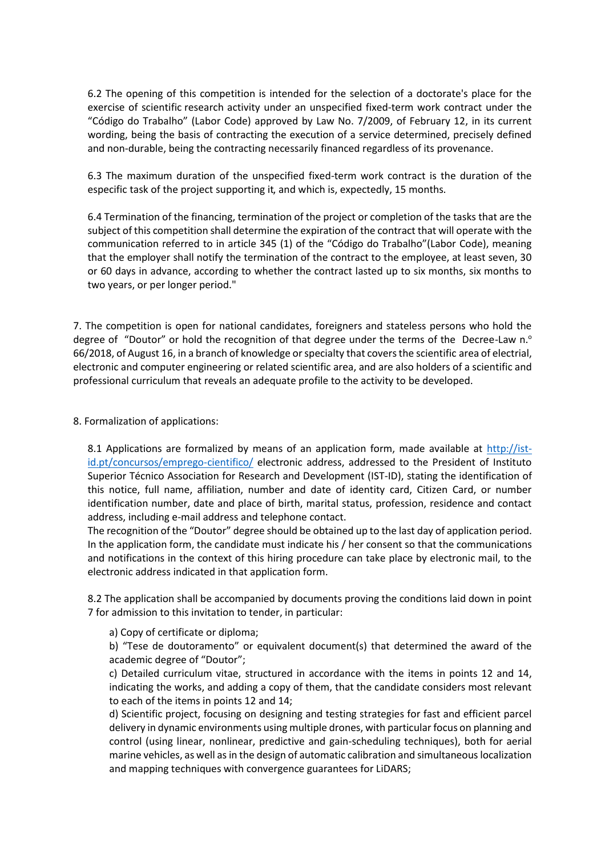6.2 The opening of this competition is intended for the selection of a doctorate's place for the exercise of scientific research activity under an unspecified fixed-term work contract under the "Código do Trabalho" (Labor Code) approved by Law No. 7/2009, of February 12, in its current wording, being the basis of contracting the execution of a service determined, precisely defined and non-durable, being the contracting necessarily financed regardless of its provenance.

6.3 The maximum duration of the unspecified fixed-term work contract is the duration of the especific task of the project supporting it, and which is, expectedly, 15 months.

6.4 Termination of the financing, termination of the project or completion of the tasks that are the subject of this competition shall determine the expiration of the contract that will operate with the communication referred to in article 345 (1) of the "Código do Trabalho"(Labor Code), meaning that the employer shall notify the termination of the contract to the employee, at least seven, 30 or 60 days in advance, according to whether the contract lasted up to six months, six months to two years, or per longer period."

7. The competition is open for national candidates, foreigners and stateless persons who hold the degree of "Doutor" or hold the recognition of that degree under the terms of the Decree-Law n.<sup>o</sup> 66/2018, of August 16, in a branch of knowledge or specialty that covers the scientific area of electrial, electronic and computer engineering or related scientific area, and are also holders of a scientific and professional curriculum that reveals an adequate profile to the activity to be developed.

8. Formalization of applications:

8.1 Applications are formalized by means of an application form, made available at  $\frac{http://ist-}{http://ist-}$ id.pt/concursos/emprego-cientifico/ electronic address, addressed to the President of Instituto Superior Técnico Association for Research and Development (IST-ID), stating the identification of this notice, full name, affiliation, number and date of identity card, Citizen Card, or number identification number, date and place of birth, marital status, profession, residence and contact address, including e-mail address and telephone contact.

The recognition of the "Doutor" degree should be obtained up to the last day of application period. In the application form, the candidate must indicate his / her consent so that the communications and notifications in the context of this hiring procedure can take place by electronic mail, to the electronic address indicated in that application form.

8.2 The application shall be accompanied by documents proving the conditions laid down in point 7 for admission to this invitation to tender, in particular:

a) Copy of certificate or diploma;

b) "Tese de doutoramento" or equivalent document(s) that determined the award of the academic degree of "Doutor";

c) Detailed curriculum vitae, structured in accordance with the items in points 12 and 14, indicating the works, and adding a copy of them, that the candidate considers most relevant to each of the items in points 12 and 14;

d) Scientific project, focusing on designing and testing strategies for fast and efficient parcel delivery in dynamic environments using multiple drones, with particular focus on planning and control (using linear, nonlinear, predictive and gain-scheduling techniques), both for aerial marine vehicles, as well as in the design of automatic calibration and simultaneous localization and mapping techniques with convergence guarantees for LiDARS;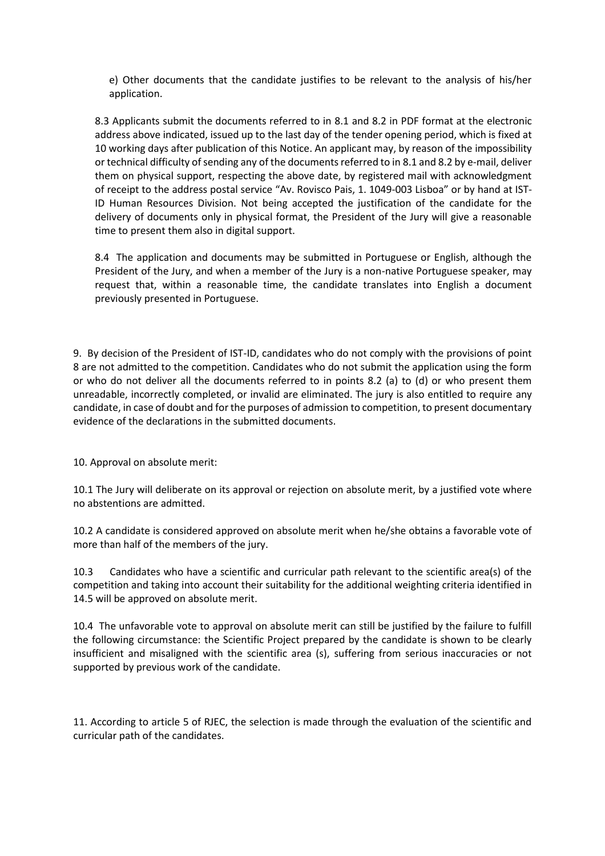e) Other documents that the candidate justifies to be relevant to the analysis of his/her application.

8.3 Applicants submit the documents referred to in 8.1 and 8.2 in PDF format at the electronic address above indicated, issued up to the last day of the tender opening period, which is fixed at 10 working days after publication of this Notice. An applicant may, by reason of the impossibility or technical difficulty of sending any of the documents referred to in 8.1 and 8.2 by e-mail, deliver them on physical support, respecting the above date, by registered mail with acknowledgment of receipt to the address postal service "Av. Rovisco Pais, 1. 1049-003 Lisboa" or by hand at IST-ID Human Resources Division. Not being accepted the justification of the candidate for the delivery of documents only in physical format, the President of the Jury will give a reasonable time to present them also in digital support.

8.4 The application and documents may be submitted in Portuguese or English, although the President of the Jury, and when a member of the Jury is a non-native Portuguese speaker, may request that, within a reasonable time, the candidate translates into English a document previously presented in Portuguese.

9. By decision of the President of IST-ID, candidates who do not comply with the provisions of point 8 are not admitted to the competition. Candidates who do not submit the application using the form or who do not deliver all the documents referred to in points 8.2 (a) to (d) or who present them unreadable, incorrectly completed, or invalid are eliminated. The jury is also entitled to require any candidate, in case of doubt and for the purposes of admission to competition, to present documentary evidence of the declarations in the submitted documents.

10. Approval on absolute merit:

10.1 The Jury will deliberate on its approval or rejection on absolute merit, by a justified vote where no abstentions are admitted.

10.2 A candidate is considered approved on absolute merit when he/she obtains a favorable vote of more than half of the members of the jury.

10.3 Candidates who have a scientific and curricular path relevant to the scientific area(s) of the competition and taking into account their suitability for the additional weighting criteria identified in 14.5 will be approved on absolute merit.

10.4 The unfavorable vote to approval on absolute merit can still be justified by the failure to fulfill the following circumstance: the Scientific Project prepared by the candidate is shown to be clearly insufficient and misaligned with the scientific area (s), suffering from serious inaccuracies or not supported by previous work of the candidate.

11. According to article 5 of RJEC, the selection is made through the evaluation of the scientific and curricular path of the candidates.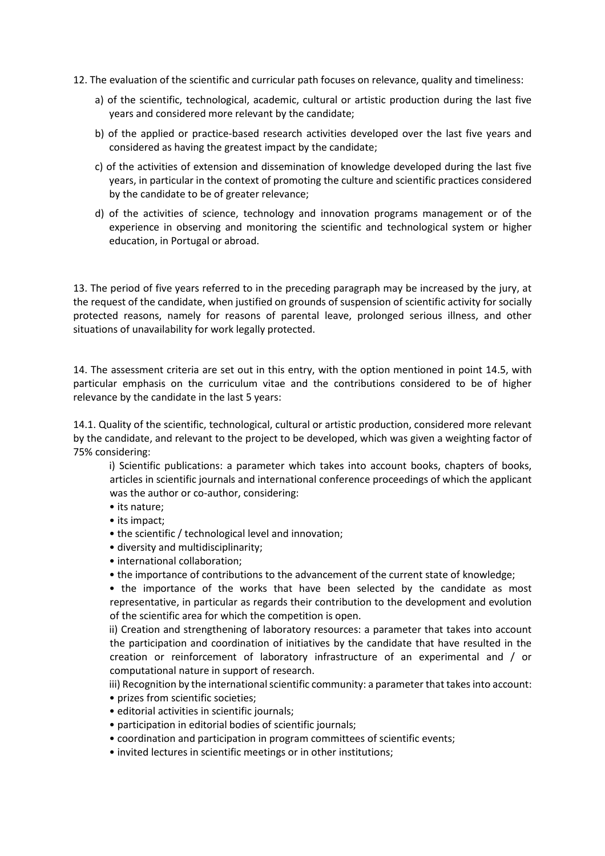- 12. The evaluation of the scientific and curricular path focuses on relevance, quality and timeliness:
	- a) of the scientific, technological, academic, cultural or artistic production during the last five years and considered more relevant by the candidate;
	- b) of the applied or practice-based research activities developed over the last five years and considered as having the greatest impact by the candidate;
	- c) of the activities of extension and dissemination of knowledge developed during the last five years, in particular in the context of promoting the culture and scientific practices considered by the candidate to be of greater relevance;
	- d) of the activities of science, technology and innovation programs management or of the experience in observing and monitoring the scientific and technological system or higher education, in Portugal or abroad.

13. The period of five years referred to in the preceding paragraph may be increased by the jury, at the request of the candidate, when justified on grounds of suspension of scientific activity for socially protected reasons, namely for reasons of parental leave, prolonged serious illness, and other situations of unavailability for work legally protected.

14. The assessment criteria are set out in this entry, with the option mentioned in point 14.5, with particular emphasis on the curriculum vitae and the contributions considered to be of higher relevance by the candidate in the last 5 years:

14.1. Quality of the scientific, technological, cultural or artistic production, considered more relevant by the candidate, and relevant to the project to be developed, which was given a weighting factor of 75% considering:

i) Scientific publications: a parameter which takes into account books, chapters of books, articles in scientific journals and international conference proceedings of which the applicant was the author or co-author, considering:

- its nature;
- its impact;
- the scientific / technological level and innovation;
- diversity and multidisciplinarity;
- international collaboration;
- the importance of contributions to the advancement of the current state of knowledge;

• the importance of the works that have been selected by the candidate as most representative, in particular as regards their contribution to the development and evolution of the scientific area for which the competition is open.

ii) Creation and strengthening of laboratory resources: a parameter that takes into account the participation and coordination of initiatives by the candidate that have resulted in the creation or reinforcement of laboratory infrastructure of an experimental and / or computational nature in support of research.

iii) Recognition by the international scientific community: a parameter that takes into account:

- prizes from scientific societies;
- editorial activities in scientific journals;
- participation in editorial bodies of scientific journals;
- coordination and participation in program committees of scientific events;
- invited lectures in scientific meetings or in other institutions;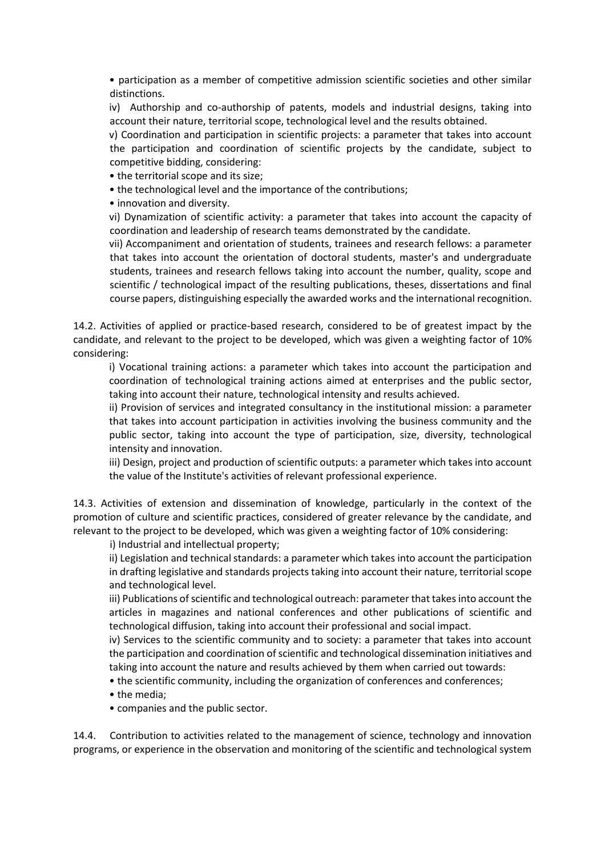• participation as a member of competitive admission scientific societies and other similar distinctions.

iv) Authorship and co-authorship of patents, models and industrial designs, taking into account their nature, territorial scope, technological level and the results obtained.

v) Coordination and participation in scientific projects: a parameter that takes into account the participation and coordination of scientific projects by the candidate, subject to competitive bidding, considering:

• the territorial scope and its size;

• the technological level and the importance of the contributions;

• innovation and diversity.

vi) Dynamization of scientific activity: a parameter that takes into account the capacity of coordination and leadership of research teams demonstrated by the candidate.

vii) Accompaniment and orientation of students, trainees and research fellows: a parameter that takes into account the orientation of doctoral students, master's and undergraduate students, trainees and research fellows taking into account the number, quality, scope and scientific / technological impact of the resulting publications, theses, dissertations and final course papers, distinguishing especially the awarded works and the international recognition.

14.2. Activities of applied or practice-based research, considered to be of greatest impact by the candidate, and relevant to the project to be developed, which was given a weighting factor of 10% considering:

i) Vocational training actions: a parameter which takes into account the participation and coordination of technological training actions aimed at enterprises and the public sector, taking into account their nature, technological intensity and results achieved.

ii) Provision of services and integrated consultancy in the institutional mission: a parameter that takes into account participation in activities involving the business community and the public sector, taking into account the type of participation, size, diversity, technological intensity and innovation.

iii) Design, project and production of scientific outputs: a parameter which takes into account the value of the Institute's activities of relevant professional experience.

14.3. Activities of extension and dissemination of knowledge, particularly in the context of the promotion of culture and scientific practices, considered of greater relevance by the candidate, and relevant to the project to be developed, which was given a weighting factor of 10% considering:

i) Industrial and intellectual property;

ii) Legislation and technical standards: a parameter which takes into account the participation in drafting legislative and standards projects taking into account their nature, territorial scope and technological level.

iii) Publications of scientific and technological outreach: parameter that takes into account the articles in magazines and national conferences and other publications of scientific and technological diffusion, taking into account their professional and social impact.

iv) Services to the scientific community and to society: a parameter that takes into account the participation and coordination of scientific and technological dissemination initiatives and taking into account the nature and results achieved by them when carried out towards:

• the scientific community, including the organization of conferences and conferences;

- the media;
- companies and the public sector.

14.4. Contribution to activities related to the management of science, technology and innovation programs, or experience in the observation and monitoring of the scientific and technological system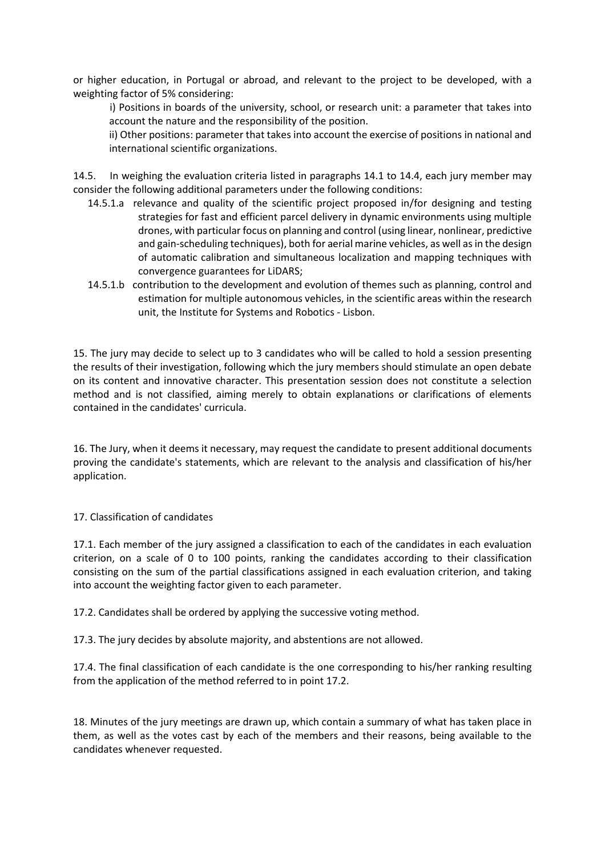or higher education, in Portugal or abroad, and relevant to the project to be developed, with a weighting factor of 5% considering:

i) Positions in boards of the university, school, or research unit: a parameter that takes into account the nature and the responsibility of the position.

ii) Other positions: parameter that takes into account the exercise of positions in national and international scientific organizations.

14.5. In weighing the evaluation criteria listed in paragraphs 14.1 to 14.4, each jury member may consider the following additional parameters under the following conditions:

- 14.5.1.a relevance and quality of the scientific project proposed in/for designing and testing strategies for fast and efficient parcel delivery in dynamic environments using multiple drones, with particular focus on planning and control (using linear, nonlinear, predictive and gain-scheduling techniques), both for aerial marine vehicles, as well as in the design of automatic calibration and simultaneous localization and mapping techniques with convergence guarantees for LiDARS;
- 14.5.1.b contribution to the development and evolution of themes such as planning, control and estimation for multiple autonomous vehicles, in the scientific areas within the research unit, the Institute for Systems and Robotics - Lisbon.

15. The jury may decide to select up to 3 candidates who will be called to hold a session presenting the results of their investigation, following which the jury members should stimulate an open debate on its content and innovative character. This presentation session does not constitute a selection method and is not classified, aiming merely to obtain explanations or clarifications of elements contained in the candidates' curricula.

16. The Jury, when it deems it necessary, may request the candidate to present additional documents proving the candidate's statements, which are relevant to the analysis and classification of his/her application.

## 17. Classification of candidates

17.1. Each member of the jury assigned a classification to each of the candidates in each evaluation criterion, on a scale of 0 to 100 points, ranking the candidates according to their classification consisting on the sum of the partial classifications assigned in each evaluation criterion, and taking into account the weighting factor given to each parameter.

17.2. Candidates shall be ordered by applying the successive voting method.

17.3. The jury decides by absolute majority, and abstentions are not allowed.

17.4. The final classification of each candidate is the one corresponding to his/her ranking resulting from the application of the method referred to in point 17.2.

18. Minutes of the jury meetings are drawn up, which contain a summary of what has taken place in them, as well as the votes cast by each of the members and their reasons, being available to the candidates whenever requested.